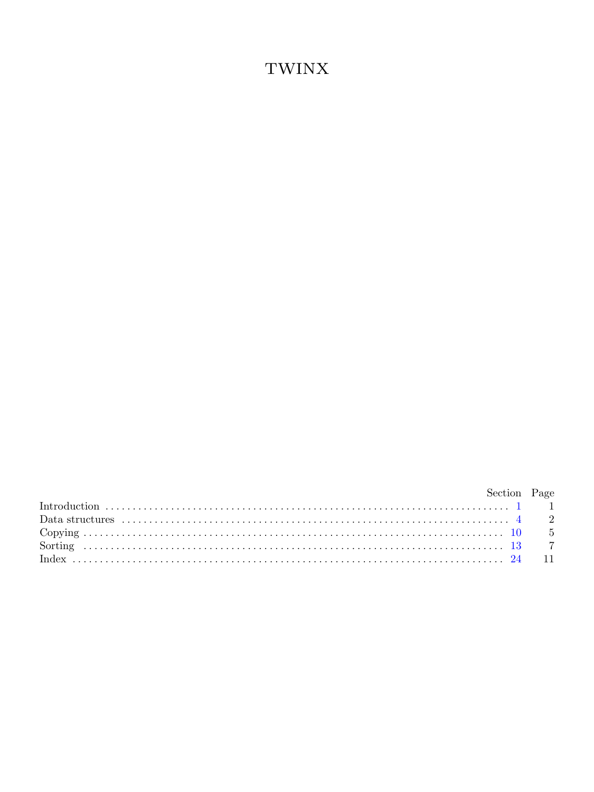## **TWINX**

| bection Page |  |
|--------------|--|
|              |  |
|              |  |
|              |  |
|              |  |
|              |  |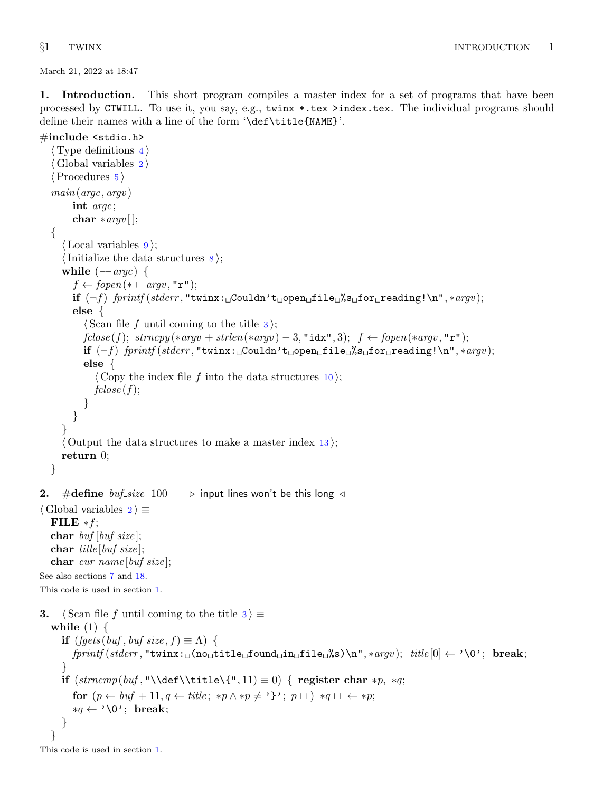<span id="page-1-0"></span>March 21, 2022 at 18:47

1. Introduction. This short program compiles a master index for a set of programs that have been processed by CTWILL. To use it, you say, e.g., twinx \*.tex >index.tex. The individual programs should define their names with a line of the form '\def\title{NAME}'.

## #include <stdio.h>

```
\langle4 \rangleGlobal variables 2 \rangle\langle5 \ranglemain(argc, argv )
       int argc;
       char *argv [ ];
  {
     \langle9\rangle;
     \{Initialize the data structures 8}{3};
     while (-argc) {
       f \leftarrow \text{fopen} (* + + argv, "r");
       if (\neg f) fprintf (stderr, "twinx: Couldn't open file %s for reading!\n", *argv);
       else {
          \langle Scan file f until coming to the title 3\rangle;
          fclose(f); \; strongly(*aryv + strlen(*aryv) - 3, "idx", 3); \; f \leftarrow fopen(*aryv, "r");if (\neg f) fprintf (stderr, "twinx: Couldn't open file %s for reading!\n", *argv);
          else {
            \langle10\rangle;
            fclose(f);}
       }
     }
     \langle13\rangle;
     return 0;
  }
2. #define buf\_size 100 \rightarrow input lines won't be this long \triangleleft\langle Global variables 2\rangle \equivFILE *f;
  char buf [buf\_size];
  char title [buf_size];
  char cur_name[buf_size];
See also sections 7 and 18.
This code is used in section 1.
3. \langle Scan file f until coming to the title 3 \rangle \equivwhile (1) {
     if (fgets (buf,buf\_size, f) \equiv \Lambda) {
       fprint(fstderr, "twinx: \text{in}[no_title_found_tin_tfile_t\%s)\n", *argv); title[0] \leftarrow ' \0'; break;}
    if (strncmp(buf, "\\def\\tilde{\", 11}) \equiv 0) { register char *p, *q;
       for (p \leftarrow \text{buf} + 11, q \leftarrow \text{title}; *p \wedge *p \neq ''; p++) *q++ \leftarrow *p;*q \leftarrow \text{'\`0': break:}}
  }
```
This code is used in section 1.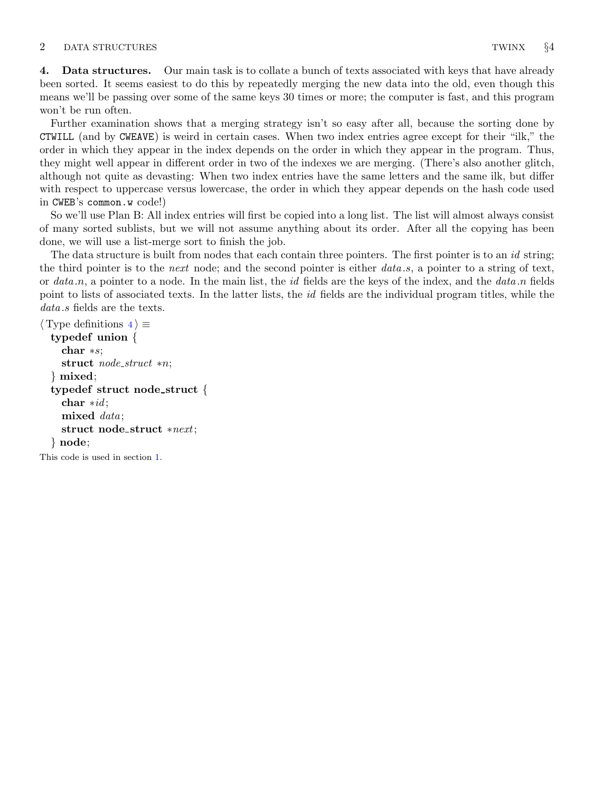## <span id="page-2-0"></span>2 DATA STRUCTURES TWINX 64

4. Data structures. Our main task is to collate a bunch of texts associated with keys that have already been sorted. It seems easiest to do this by repeatedly merging the new data into the old, even though this means we'll be passing over some of the same keys 30 times or more; the computer is fast, and this program won't be run often.

Further examination shows that a merging strategy isn't so easy after all, because the sorting done by CTWILL (and by CWEAVE) is weird in certain cases. When two index entries agree except for their "ilk," the order in which they appear in the index depends on the order in which they appear in the program. Thus, they might well appear in different order in two of the indexes we are merging. (There's also another glitch, although not quite as devasting: When two index entries have the same letters and the same ilk, but differ with respect to uppercase versus lowercase, the order in which they appear depends on the hash code used in CWEB's common.w code!)

So we'll use Plan B: All index entries will first be copied into a long list. The list will almost always consist of many sorted sublists, but we will not assume anything about its order. After all the copying has been done, we will use a list-merge sort to finish the job.

The data structure is built from nodes that each contain three pointers. The first pointer is to an id string; the third pointer is to the next node; and the second pointer is either  $data.s$ , a pointer to a string of text, or data  $n$ , a pointer to a node. In the main list, the id fields are the keys of the index, and the data  $n$  fields point to lists of associated texts. In the latter lists, the *id* fields are the individual program titles, while the data s fields are the texts.

```
\langle Type definitions 4\rangle \equivtypedef union {
    char ∗s;
    struct node_struct *n;
  } mixed;
  typedef struct node struct {
    char *id;
    mixed data;
    struct node struct ∗next;
  } node;
This code is used in section 1.
```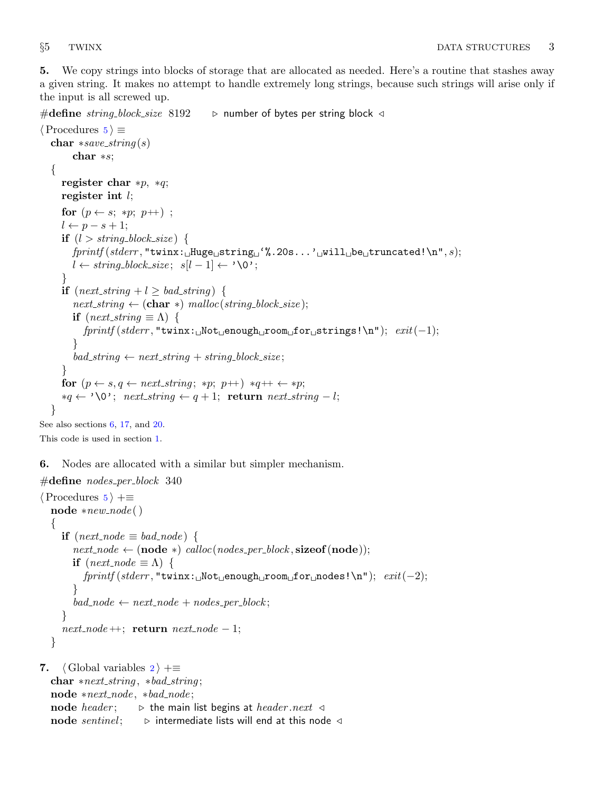<span id="page-3-0"></span>5. We copy strings into blocks of storage that are allocated as needed. Here's a routine that stashes away a given string. It makes no attempt to handle extremely long strings, because such strings will arise only if the input is all screwed up.

```
#define string_block_size 8192 \rightarrow number of bytes per string block \triangleleft
```

```
\langle Procedures 5 \rangle \equivchar *save\_string(s)char ∗s;
   {
      register char *p, *q;
     register int l;
      for (p \leftarrow s; *p; p++);
      l \leftarrow p - s + 1;if (l > string\_block\_size) {
        fprint(f (sider, "twinx: \text{Huge}_{\sqcup} string \sqcup'%, 20s... \sqcup \text{will}_{\sqcup} be \sqcup truncated! \n\uparrow n", s);l \leftarrow string\_block\_size; s[l-1] \leftarrow \text{'\`0';}}
      if (next\_string + l \geq bad\_string) {
         next\_string \leftarrow (char *) \ <i>malloc</i>(string-block_size);if (next\_string \equiv \Lambda) {
            fprint(f, stderr, "twinx: \text{``Not\_enough\_room\_for\_strings!}\n^n); exit(-1);}
         bad\_string \leftarrow next\_string + string\_block\_size;}
      for (p \leftarrow s, q \leftarrow next\_string; *p; p++) *q++ \leftarrow *p;*q \leftarrow \text{'\`0'; } next\_string \leftarrow q+1; return next\_string - l;}
See also sections 6, 17, and 20.
```
This code is used in section [1](#page-1-0).

6. Nodes are allocated with a similar but simpler mechanism.

```
\#define nodes_per_block 340
\langle Procedures 5 \rangle +≡
  \textbf{node} *new\_node()\{if (next\_node \equiv bad\_node) {
         next\_node \leftarrow (node *) \, \textit{calloc} (nodes\_per\_block, \textbf{sizeof} (node));if (next-node \equiv \Lambda) {
            fprint(f (stderr, "turnx: \text{__Not}_ \text{=}) \text{for}_ \text{=} \text{nodes!}\text{``}n"; \quad exit(-2);}
         bad\_node \leftarrow next\_node + nodes\_per\_block;}
      next\_node ++; return next\_node - 1;}
```
7. (Global variables  $2 \nightharpoonup + \equiv$  $2 \nightharpoonup + \equiv$ char  $*next\_string$ ,  $*bad\_string$ ; node ∗next node , ∗bad node ; node *header*;  $\Rightarrow$  the main list begins at *header .next*  $\triangleleft$ node sentinel;  $\triangleright$  intermediate lists will end at this node  $\triangleleft$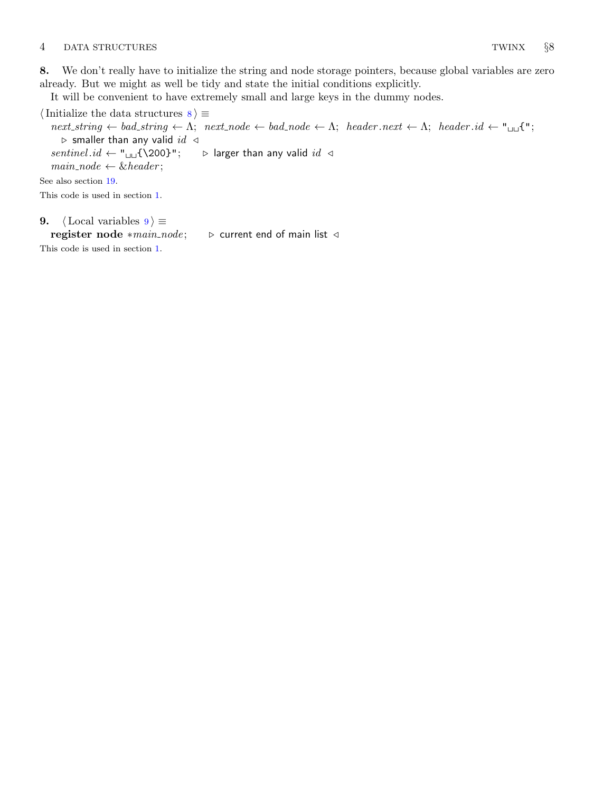## <span id="page-4-0"></span>4 DATA STRUCTURES TWINX §8

8. We don't really have to initialize the string and node storage pointers, because global variables are zero already. But we might as well be tidy and state the initial conditions explicitly.

It will be convenient to have extremely small and large keys in the dummy nodes.

 $\langle$  Initialize the data structures  $8 \rangle \equiv$  $next\text{-}string \leftarrow \text{A}; \text{ } next\text{-}node \leftarrow bad\text{-}node \leftarrow \text{A}; \text{ } header\text{-}next \leftarrow \text{A}; \text{ } header\text{-}id \leftarrow "full";$  $\triangleright$  smaller than any valid id  $\triangleleft$ sentinel  $id \leftarrow "$ <sub>⊔→</sub>{\200}";  $\rightarrow$  larger than any valid  $id \triangleleft$  $main\_node \leftarrow \& header;$ See also section [19.](#page-9-0) This code is used in section [1](#page-1-0). 9. (Local variables  $9 \geq$ 

register node \*main\_node;  $\triangleright$  current end of main list  $\triangleleft$ 

This code is used in section [1](#page-1-0).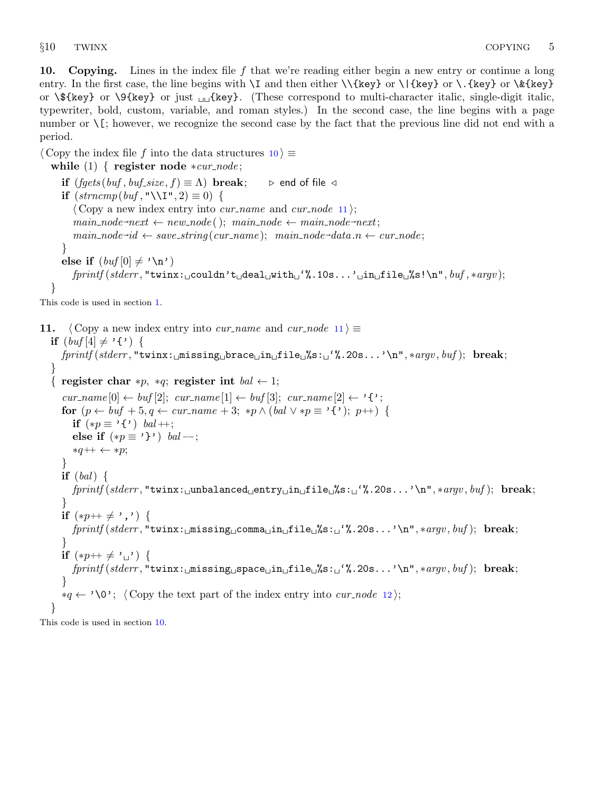<span id="page-5-0"></span>10. Copying. Lines in the index file f that we're reading either begin a new entry or continue a long entry. In the first case, the line begins with  $\I$  and then either  $\{\{key\}$  or  $\{\{key\}$  or  $\&\{key\}$ or  $\mathcal{F}_k$ ey} or  $\mathcal{F}_k$ ey} or just  $\mathcal{F}_k$  (These correspond to multi-character italic, single-digit italic, typewriter, bold, custom, variable, and roman styles.) In the second case, the line begins with a page number or  $\iota$ [; however, we recognize the second case by the fact that the previous line did not end with a period.

 $\langle$  Copy the index file f into the data structures 10  $\rangle \equiv$ 

while  $(1)$  { register node \*cur\_node;

```
if (fgets (buf,buf\_size, f) \equiv \Lambda) break; \triangleright end of file \triangleleftif (strncmp(buf, "\\I", 2) \equiv 0) {
       \langle Copy a new index entry into cur name and cur node 11;
       main\_node \rightarrow next \leftarrow new\_node(); main\_node \leftarrow main\_node \rightarrow next;main\_node \rightarrow id \leftarrow save\_string(cur\_name); main\_node \rightarrow data.n \leftarrow cur\_node;}
   else if (buf[0] \neq ' \n\infty')fprint(f (sider, "turnx: \text{1} \text{couldn'} t \text{d} \text{eal} \text{d} \text{with} \text{d}'','.10s... \text{d} \text{in} \text{d} \text{file} \text{d}''s! \text{ln}'', but ,\text{4} \text{arg} v);}
```
This code is used in section [1](#page-1-0).

```
11. (Copy a new index entry into cur name and cur node 11) \equivif (buf[4] \neq '{'}) {
     fprintf (stderr , "twinx: missing brace in file %s: '%.20s...'\n", ∗argv , buf ); break;
  }
   { register char *p, *q; register int bal \leftarrow 1;
      cur_name[0] \leftarrow \text{buf}[2]; cur_name[1] \leftarrow \text{buf}[3]; cur_name[2] \leftarrow \{';
     for (p \leftarrow \text{buf} + 5, q \leftarrow \text{cur_name} + 3; *p \wedge (\text{bal} \vee *p \equiv ' \{ ' \}; p++)if (*p \equiv '{'}) bal ++;
        else if (*p \equiv '}'') bal --;
        *q++ \leftarrow *p;}
     if (bal) \{fprint(f (siderr, "twinx: \text{unbalanced\_entry} \text{in} \text{of} \text{is}: \text{``%.} 20s... \text{``n", } * argv, \text{buf}); \text{ break};}
     if (*p++ \neq ',') {
        fprint(f (slderr, "twinx: _{\text{missing}_\text{u}comma_\text{u}in_\text{u}file_\text{w}'s: _{\text{u}}\%}.20s...'\text{w", } * \text{arg}v, \text{buf}); \text{ break};}
     if (*p++ \neq ' \sqcup') \{fprintf (stderr , "twinx: missing space in file %s: '%.20s...'\n", ∗argv , buf ); break;
      }
     *q \leftarrow \text{'\O}'; (Copy the text part of the index entry into cur_node12);
   }
```
This code is used in section 10.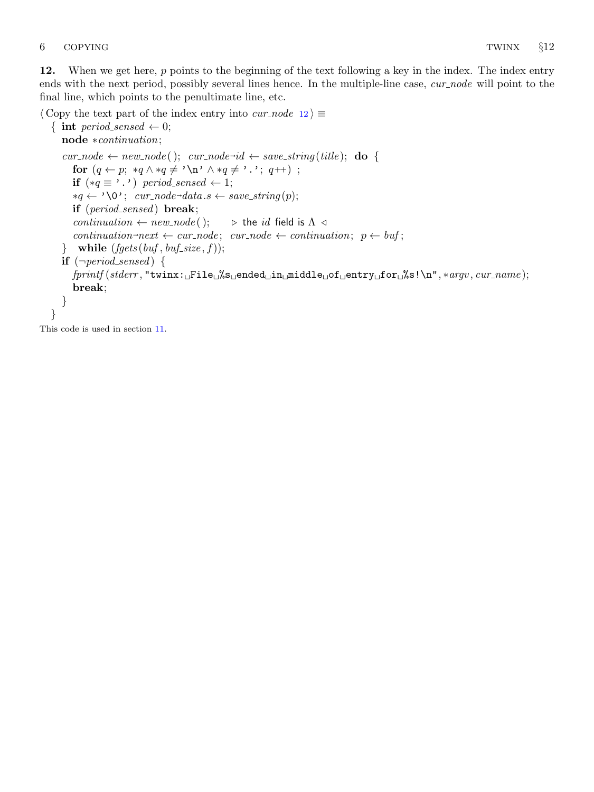<span id="page-6-0"></span>12. When we get here, p points to the beginning of the text following a key in the index. The index entry ends with the next period, possibly several lines hence. In the multiple-line case, cur node will point to the final line, which points to the penultimate line, etc.

 $\langle$  Copy the text part of the index entry into *cur\_node* 12 $\rangle \equiv$ 

```
{ int period_sensed \leftarrow 0;
    node ∗continuation;
    cur\_node \leftarrow new\_node(); cur\_node \rightarrow id \leftarrow save\_string(title); do {
        for (q \leftarrow p; *q \land *q \neq \land \land *q \neq \land \land *q \neq \land \land *q \neq \land \land *q \neq \land \land *q \neq \land \land *q \neq \land \land *q \neq \land \land *q \neq \land \land *q \neq \land \land *q \neq \land \land *q \neq \land \land *q \neq \land \land *q \neq \land *q \neq \land *q \neq \land *q \neq \land *q \neq \land *q \neq \land *q \neq \land *q \neq \land *q \neq \land *q \neq \land *q \neq \land *q \neq \land *q \neqif (*q \equiv ' . ') period_sensed ← 1;
         *q ← '\0'; cur_node-data s \leftarrow save\_string(p);if (period_sensed) break;
        continuation \leftarrow new_node(); \qquad \triangleright the id field is \Lambda \triangleleftcontinuation \neg next \leftarrow cur\_node; \quad cur\_node \leftarrow continuation; \quad p \leftarrow buf;} while (fgets (buf,buf\_size, f));if (\neg period\_sensed) {
        fprint(fstderr, "turn: _File_0\g_ended_@in_middle_0f_@entry_0f_0r_0\
        break;
    }
}
```
This code is used in section [11](#page-5-0).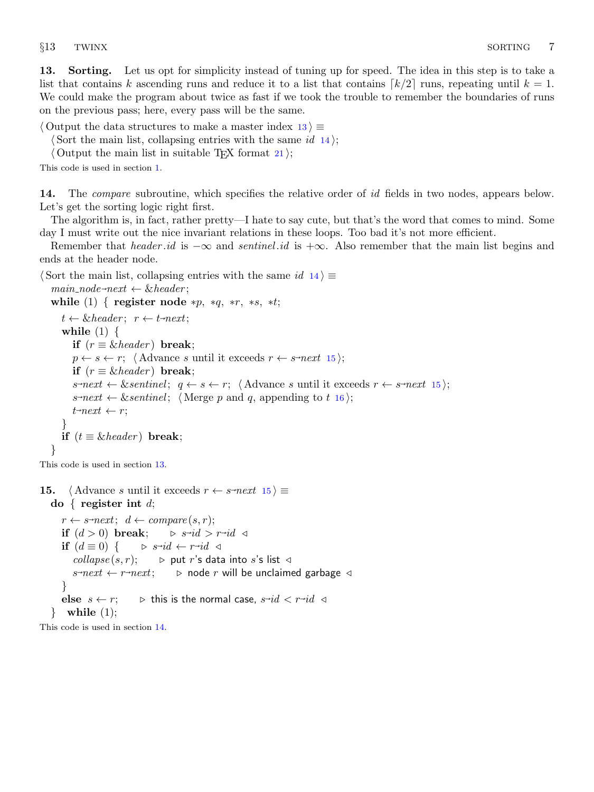<span id="page-7-0"></span>13. Sorting. Let us opt for simplicity instead of tuning up for speed. The idea in this step is to take a list that contains k ascending runs and reduce it to a list that contains  $\lceil k/2 \rceil$  runs, repeating until  $k = 1$ . We could make the program about twice as fast if we took the trouble to remember the boundaries of runs on the previous pass; here, every pass will be the same.

 $\langle$  Output the data structures to make a master index 13 $\rangle \equiv$ 

 $\langle$  Sort the main list, collapsing entries with the same id 14 $\rangle$ ;

 $\langle$  Output the main list in suitable T<sub>E</sub>X format [21](#page-9-0) $\rangle$ ;

This code is used in section [1](#page-1-0).

14. The *compare* subroutine, which specifies the relative order of id fields in two nodes, appears below. Let's get the sorting logic right first.

The algorithm is, in fact, rather pretty—I hate to say cute, but that's the word that comes to mind. Some day I must write out the nice invariant relations in these loops. Too bad it's not more efficient.

Remember that header id is  $-\infty$  and sentinel id is  $+\infty$ . Also remember that the main list begins and ends at the header node.

 $\langle$  Sort the main list, collapsing entries with the same  $id$  14 $\rangle \equiv$ 

```
main\_node \rightarrow next \leftarrow \& header;while (1) { register node *p, *q, *r, *s, *t;
   t \leftarrow \& header; r \leftarrow t \neg next;while (1) \{if (r \equiv \& header) break;
      p \leftarrow s \leftarrow r; (Advance s until it exceeds r \leftarrow s-next 15);
     if (r \equiv \& header) break;
      s\text{-}next \leftarrow \&sentinel; \quad q \leftarrow s \leftarrow r; \quad \text{(Advance } s \text{ until it exceeds } r \leftarrow s\text{-}next \quad 15);16 \rangle;t<sup>-next</sup> \leftarrow r;
   }
  if (t \equiv \& header) break;
}
```
This code is used in section 13.

```
15. \langle Advance s until it exceeds r \leftarrow s-next 15 \rangle \equivdo { register int d;
        r \leftarrow s \text{-}next; d \leftarrow compare(s,r);if (d > 0) break;
                                                        id > r \rightarrow id \; \triangleleftif (d \equiv 0) \{<br>collapse(s, r);
                                             id \leftarrow r \rightarrow id \triangleleft\triangleright put r's data into s's list \trianglelefts \rightarrow next \leftarrow r\triangleright node r will be unclaimed garbage \triangleleft}
        else s \leftarrow r; \triangleright this is the normal case, s \rightarrow id \lt r \rightarrow id \lt \pi\} while (1);
```
This code is used in section 14.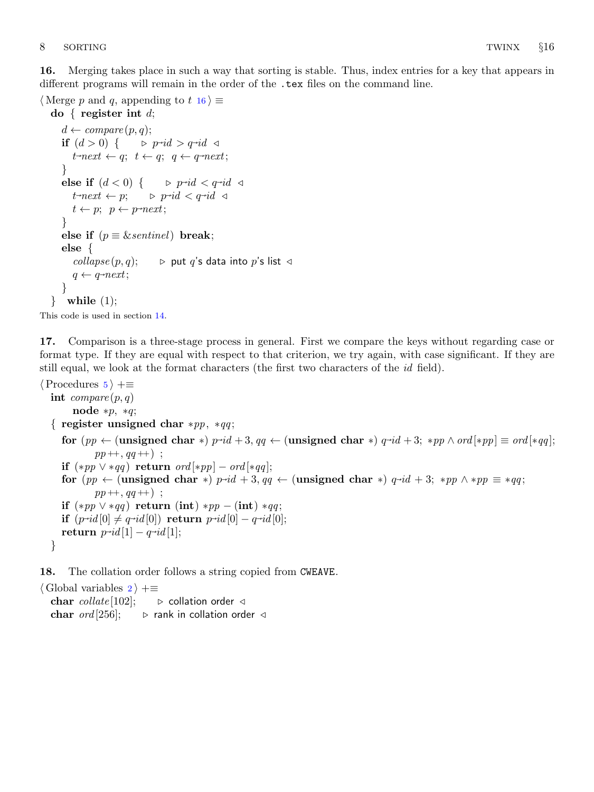<span id="page-8-0"></span>16. Merging takes place in such a way that sorting is stable. Thus, index entries for a key that appears in different programs will remain in the order of the .tex files on the command line.

 $\langle$  Merge p and q, appending to t 16  $\rangle \equiv$ 

```
do { register int d;
       d \leftarrow \text{compare}(p, q);if (d > 0) \{id > q \rightarrow id \; \triangleleftt<sup>-next</sup> \leftarrow q; t \leftarrow q; q \leftarrow q-next;
       }
        else if (d < 0) { \Rightarrow p-id < q-id \triangleleftt<sup>-next</sup> \leftarrow p; \qquad \triangleright p-
                                               id < q \rightarrow id \; \triangleleftt \leftarrow p; \ \ p \leftarrow p \neg next;}
       else if (p \equiv \&sentinel) break;
       else {
           collapse(p, q); \rightarrow put q's data into p's list \triangleleftq \leftarrow q \rightarrow next;}
    \} while (1);
This code is used in section 14.
```
17. Comparison is a three-stage process in general. First we compare the keys without regarding case or format type. If they are equal with respect to that criterion, we try again, with case significant. If they are still equal, we look at the format characters (the first two characters of the id field).

```
\langle5 \rangle +≡
  int compare (p, q)node *p, *q;
   { register unsigned char *p, *q;
      \textbf{for} \,\, (pp \leftarrow (\textbf{unsigned char } *) \,\, p\text{-}id + 3,\, qq \leftarrow (\textbf{unsigned char } *) \,\, q\text{-}id + 3; \,\, \ast pp \wedge ord[\ast pp] \equiv ord[\ast qq];pp ++, qq +);
      if (*pp \vee *qq) return ord [*pp] - ord[*qq];
      for (pp \leftarrow (unsigned char *) p-id + 3, qq \leftarrow (unsigned char *) q-id + 3; *pp \wedge *pp \equiv *qq;
               pp ++, qq ++);
      if (*pp \vee *qq) return (int) *p - (int) *qq;if (p \rightarrow id[0] \neq q \rightarrow id[0]) return p \rightarrow id[0] - q \rightarrow id[0];return p \rightarrow id[1] - q \rightarrow id[1];}
```
18. The collation order follows a string copied from CWEAVE.

```
\langle2 \rangle +≡
  char collate [102]; \rightarrow collation order \triangleleftchar ord[256]; \rightarrow rank in collation order \triangleleft
```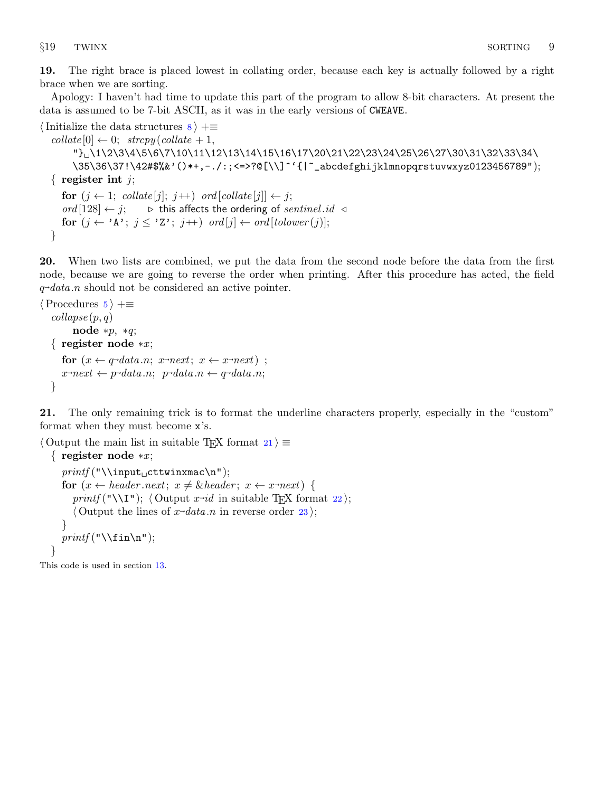<span id="page-9-0"></span>19. The right brace is placed lowest in collating order, because each key is actually followed by a right brace when we are sorting.

Apology: I haven't had time to update this part of the program to allow 8-bit characters. At present the data is assumed to be 7-bit ASCII, as it was in the early versions of CWEAVE.

```
\{Initialize the data structures 8 \} + \equivcollate [0] \leftarrow 0; \ \ \text{stropy}(collate + 1,"} \1\2\3\4\5\6\7\10\11\12\13\14\15\16\17\20\21\22\23\24\25\26\27\30\31\32\33\34\
        \35\36\37!\42#$%&'()*+,−./:;<=>?@[\\]^'{|~_abcdefghijklmnopqrstuvwxyz0123456789");
  { register int j;
     for (j \leftarrow 1; \text{ collate}[j]; j++) \text{ ord}[\text{collate}[j]] \leftarrow j;ord [128] ← j; \triangleright this affects the ordering of sentinel .id \triangleleftfor (j \leftarrow 'A'; j \leq 'Z'; j++) ord [j] \leftarrow \text{ord}[\text{tolower}(j)];}
```
20. When two lists are combined, we put the data from the second node before the data from the first node, because we are going to reverse the order when printing. After this procedure has acted, the field q~ data .n should not be considered an active pointer.

```
\langle5 \rangle +≡
   \textit{collapse}(p, q)node *p, *q;
   { register node ∗x;
        for (x \leftarrow q \rightarrow data.n; x \rightarrow next; x \leftarrow x \rightarrow next);
        x\rightarrow next \leftarrow p\rightarrow data.n; \ p\rightarrow data.n \leftarrow q\rightarrow data.n;}
```
21. The only remaining trick is to format the underline characters properly, especially in the "custom" format when they must become x's.

```
\langle Output the main list in suitable T<sub>EX</sub> format 21 \equiv{ register node ∗x;
    print(f("\l\input_1cttwinxmac\n');
     for (x \leftarrow header.next; x \neq \& header; x \leftarrow x \rightarrow next) {
       printf ("\\I"); \langle22\rangle;
       \langle Output the lines of x \rightarrow data.n23\rangle;
     }
    printf("\\fin\n");
  }
```
This code is used in section [13](#page-7-0).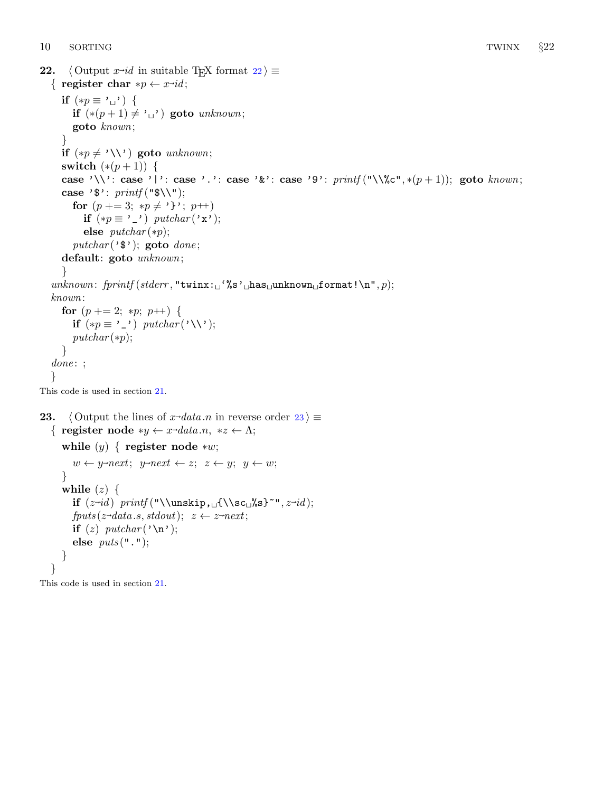```
22. \langle Output x<sup>-id</sup> in suitable T<sub>E</sub>X format 22\rangle \equiv{ register char *p \leftarrow x \rightarrow id;if (*p \equiv ' \sqcup') \{if (*(p+1) \neq ' \rightharpoonup') goto unknown;
        goto known;
     }
     if (*p \neq '\ \ \setminus) goto unknown;
     switch (*(p+1)) {
     case '\\': case '|': case '.': case '&': case '9': printf ("\\%c", *(p+1)); goto known;
     case '\mathfrak{s}': printf ("\mathfrak{s}');
        for (p + = 3; *p \neq ''; p+)
           if (*p \equiv ') putchar (\star x);
           else putchar(*p);putchar(<b>'</b>math>); goto done;
     default: goto unknown;
     }
  unknown: fprint(f (stderr, "twinx: "s'') has "unknown" format! \n", p);known:
     for (p + = 2; *p; p++) {
        if (*p \equiv ') putchar (\' \ \ \ \ \ \ \putchar(*p);}
  done:;
  }
This code is used in section 21.
23. \langle Output the lines of x-data n in reverse order 23 \rangle \equiv{ register node *y \leftarrow x-data.n, *z \leftarrow \Lambda;
```

```
while (y) \{ \text{register node} * w; \}w \leftarrow y\text{-}next; y\text{-}next \leftarrow z; z \leftarrow y; y \leftarrow w;}
   while (z) \{if (z~
id ) printf ("\\unskip, {\\sc %s}~", z~
id );
      fputs(z\rightarrow data.s, stdout); z \leftarrow z\rightarrow next;if (z) putchar (\cdot \n\cdot);
      else puts("."}
}
```
This code is used in section [21](#page-9-0).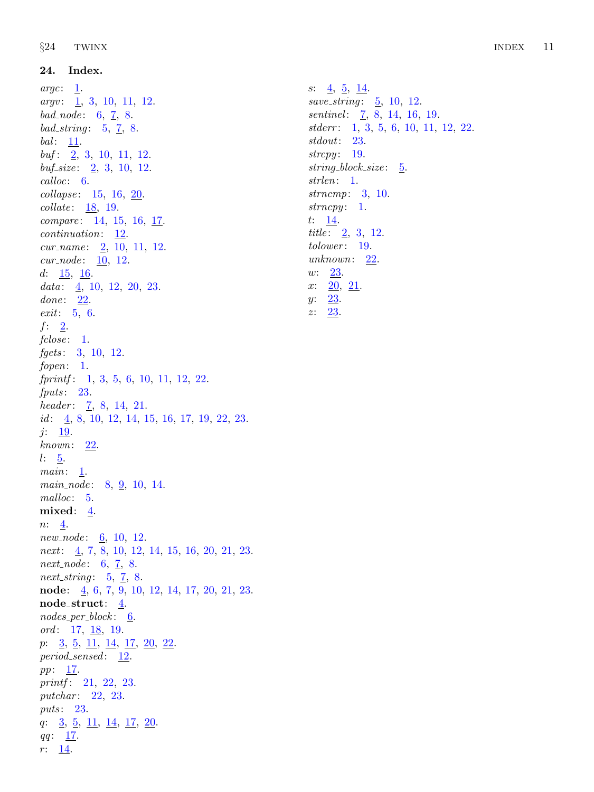24. Index.

<span id="page-11-0"></span> $\S 24$  TWINX INDEX 11 s: [4](#page-2-0), [5,](#page-3-0) [14.](#page-7-0) save\_string:  $\frac{5}{0}$ , [10,](#page-5-0) [12](#page-6-0). sentinel: [7,](#page-3-0) [8,](#page-4-0) [14](#page-7-0), [16,](#page-8-0) [19](#page-9-0). stderr: [1,](#page-1-0) [3,](#page-1-0) [5,](#page-3-0) [6,](#page-3-0) [10,](#page-5-0) [11,](#page-5-0) [12,](#page-6-0) [22.](#page-10-0) stdout: [23](#page-10-0). strcpy: [19.](#page-9-0)  $string\_block\_size:$  [5.](#page-3-0) strlen: [1](#page-1-0). strncmp: [3,](#page-1-0) [10.](#page-5-0)  $strong: 1.$  $strong: 1.$ t:  $14$ . *title*:  $\frac{2}{3}$ , [3,](#page-1-0) [12.](#page-6-0) tolower: [19.](#page-9-0)  $unknown: \quad 22.$  $unknown: \quad 22.$  $unknown: \quad 22.$ w: [23](#page-10-0).  $x: \quad 20, \ \frac{21}{1}$  $x: \quad 20, \ \frac{21}{1}$  $x: \quad 20, \ \frac{21}{1}$ .  $y: \quad 23.$  $y: \quad 23.$  $z: \quad 23.$  $z: \quad 23.$ 

 $\arg c: \quad 1.$  $\arg c: \quad 1.$  $argv: \quad 1, 3, 10, 11, 12.$  $argv: \quad 1, 3, 10, 11, 12.$  $argv: \quad 1, 3, 10, 11, 12.$  $argv: \quad 1, 3, 10, 11, 12.$  $argv: \quad 1, 3, 10, 11, 12.$  $argv: \quad 1, 3, 10, 11, 12.$  $argv: \quad 1, 3, 10, 11, 12.$  $argv: \quad 1, 3, 10, 11, 12.$  $argv: \quad 1, 3, 10, 11, 12.$  $argv: \quad 1, 3, 10, 11, 12.$  $bad\_node: 6, 7, 8.$  $bad\_node: 6, 7, 8.$  $bad\_node: 6, 7, 8.$  $bad\_node: 6, 7, 8.$  $bad\_node: 6, 7, 8.$  $bad\_node: 6, 7, 8.$  $bad\_string: 5, 7, 8.$  $bad\_string: 5, 7, 8.$  $bad\_string: 5, 7, 8.$  $bad\_string: 5, 7, 8.$  $bad\_string: 5, 7, 8.$  $bad\_string: 5, 7, 8.$  $bad\_string: 5, 7, 8.$ bal: [11.](#page-5-0)  $buf: 2, 3, 10, 11, 12.$  $buf: 2, 3, 10, 11, 12.$  $buf: 2, 3, 10, 11, 12.$  $buf: 2, 3, 10, 11, 12.$  $buf: 2, 3, 10, 11, 12.$  $buf: 2, 3, 10, 11, 12.$  $buf: 2, 3, 10, 11, 12.$  $buf: 2, 3, 10, 11, 12.$  $buf: 2, 3, 10, 11, 12.$  $buf: 2, 3, 10, 11, 12.$  $buf\_size: 2, 3, 10, 12.$  $buf\_size: 2, 3, 10, 12.$  $buf\_size: 2, 3, 10, 12.$  $buf\_size: 2, 3, 10, 12.$  $buf\_size: 2, 3, 10, 12.$  $buf\_size: 2, 3, 10, 12.$  $buf\_size: 2, 3, 10, 12.$  $buf\_size: 2, 3, 10, 12.$  $buf\_size: 2, 3, 10, 12.$ calloc: [6.](#page-3-0) collapse: [15,](#page-7-0) [16](#page-8-0), [20](#page-9-0). collate : [18,](#page-8-0) [19.](#page-9-0) compare: [14](#page-7-0), [15,](#page-7-0) [16](#page-8-0), [17.](#page-8-0) continuation: [12](#page-6-0).  $cur_name: \quad 2, 10, 11, 12.$  $cur_name: \quad 2, 10, 11, 12.$  $cur_name: \quad 2, 10, 11, 12.$  $cur_name: \quad 2, 10, 11, 12.$  $cur_name: \quad 2, 10, 11, 12.$  $cur_name: \quad 2, 10, 11, 12.$  $cur_name: \quad 2, 10, 11, 12.$  $cur_name: \quad 2, 10, 11, 12.$  $cur\_node: \; 10, 12.$  $cur\_node: \; 10, 12.$  $cur\_node: \; 10, 12.$  $cur\_node: \; 10, 12.$ d:  $\frac{15}{.6}$ . data:  $\frac{4}{10}$  $\frac{4}{10}$  $\frac{4}{10}$ , 10, [12,](#page-6-0) [20](#page-9-0), [23.](#page-10-0)  $done: \underline{22}$  $done: \underline{22}$  $done: \underline{22}$ . exit: [5,](#page-3-0) [6](#page-3-0).  $f: \underline{2}.$ fclose: [1.](#page-1-0) fgets: [3,](#page-1-0) [10,](#page-5-0) [12.](#page-6-0) fopen: [1.](#page-1-0)  $fprint: \quad 1, 3, 5, 6, 10, 11, 12, 22.$  $fprint: \quad 1, 3, 5, 6, 10, 11, 12, 22.$  $fprint: \quad 1, 3, 5, 6, 10, 11, 12, 22.$  $fprint: \quad 1, 3, 5, 6, 10, 11, 12, 22.$  $fprint: \quad 1, 3, 5, 6, 10, 11, 12, 22.$  $fprint: \quad 1, 3, 5, 6, 10, 11, 12, 22.$  $fprint: \quad 1, 3, 5, 6, 10, 11, 12, 22.$  $fprint: \quad 1, 3, 5, 6, 10, 11, 12, 22.$  $fprint: \quad 1, 3, 5, 6, 10, 11, 12, 22.$  $fprint: \quad 1, 3, 5, 6, 10, 11, 12, 22.$  $fprint: \quad 1, 3, 5, 6, 10, 11, 12, 22.$  $fprint: \quad 1, 3, 5, 6, 10, 11, 12, 22.$  $fprint: \quad 1, 3, 5, 6, 10, 11, 12, 22.$  $fprint: \quad 1, 3, 5, 6, 10, 11, 12, 22.$  $fprint: \quad 1, 3, 5, 6, 10, 11, 12, 22.$  $fprint: \quad 1, 3, 5, 6, 10, 11, 12, 22.$  $fprint: \quad 1, 3, 5, 6, 10, 11, 12, 22.$  $fputs: 23.$  $fputs: 23.$ header:  $\overline{7}$  $\overline{7}$  $\overline{7}$ , [8](#page-4-0), [14,](#page-7-0) [21.](#page-9-0) *id*:  $\underline{4}$  $\underline{4}$  $\underline{4}$ , [8,](#page-4-0) [10](#page-5-0), [12,](#page-6-0) [14](#page-7-0), [15,](#page-7-0) [16](#page-8-0), [17,](#page-8-0) [19](#page-9-0), [22,](#page-10-0) [23](#page-10-0).  $j: \underline{19}$  $j: \underline{19}$  $j: \underline{19}$ .  $known: \underline{22}.$  $known: \underline{22}.$  $known: \underline{22}.$  $l: \underline{5}$ .  $main: \underline{1}$ .  $main\_node: 8, 9, 10, 14.$  $main\_node: 8, 9, 10, 14.$  $main\_node: 8, 9, 10, 14.$  $main\_node: 8, 9, 10, 14.$  $main\_node: 8, 9, 10, 14.$  $main\_node: 8, 9, 10, 14.$  $main\_node: 8, 9, 10, 14.$  $main\_node: 8, 9, 10, 14.$ malloc: [5.](#page-3-0) mixed: [4.](#page-2-0)  $n: \underline{4}.$  $new-node: 6, 10, 12.$  $new-node: 6, 10, 12.$  $new-node: 6, 10, 12.$  $new-node: 6, 10, 12.$  $new-node: 6, 10, 12.$  $new-node: 6, 10, 12.$ *next*:  $\underline{4}$  $\underline{4}$  $\underline{4}$ , [7,](#page-3-0) [8](#page-4-0), [10,](#page-5-0) [12](#page-6-0), [14,](#page-7-0) [15,](#page-7-0) [16](#page-8-0), [20,](#page-9-0) [21](#page-9-0), [23.](#page-10-0) *next\_node*:  $6, 7, 8$  $6, 7, 8$  $6, 7, 8$  $6, 7, 8$  $6, 7, 8$ . next\_string:  $5, 7, 8$  $5, 7, 8$  $5, 7, 8$  $5, 7, 8$  $5, 7, 8$ . node: [4](#page-2-0), [6,](#page-3-0) [7](#page-3-0), [9,](#page-4-0) [10](#page-5-0), [12,](#page-6-0) [14,](#page-7-0) [17](#page-8-0), [20,](#page-9-0) [21](#page-9-0), [23.](#page-10-0) node\_struct:  $\frac{4}{3}$ .  $nodes\_per\_block: 6$ . ord:  $17, 18, 19$  $17, 18, 19$  $17, 18, 19$  $17, 18, 19$  $17, 18, 19$ . p:  $3, 5, 11, 14, 17, 20, 22.$  $3, 5, 11, 14, 17, 20, 22.$  $3, 5, 11, 14, 17, 20, 22.$  $3, 5, 11, 14, 17, 20, 22.$  $3, 5, 11, 14, 17, 20, 22.$  $3, 5, 11, 14, 17, 20, 22.$  $3, 5, 11, 14, 17, 20, 22.$  $3, 5, 11, 14, 17, 20, 22.$  $3, 5, 11, 14, 17, 20, 22.$  $3, 5, 11, 14, 17, 20, 22.$  $3, 5, 11, 14, 17, 20, 22.$  $3, 5, 11, 14, 17, 20, 22.$  $3, 5, 11, 14, 17, 20, 22.$ period\_sensed: [12](#page-6-0). *pp*:  $17$ . printf: [21,](#page-9-0) [22](#page-10-0), [23](#page-10-0). putchar: [22,](#page-10-0) [23.](#page-10-0) puts: [23.](#page-10-0) q:  $\frac{3}{5}$  $\frac{3}{5}$  $\frac{3}{5}$ ,  $\frac{11}{14}$  $\frac{11}{14}$  $\frac{11}{14}$ ,  $\frac{14}{17}$ ,  $\frac{20}{14}$  $\frac{20}{14}$  $\frac{20}{14}$ .  $qq: \underline{17}.$  $qq: \underline{17}.$  $qq: \underline{17}.$  $r: \underline{14}$  $r: \underline{14}$  $r: \underline{14}$ .